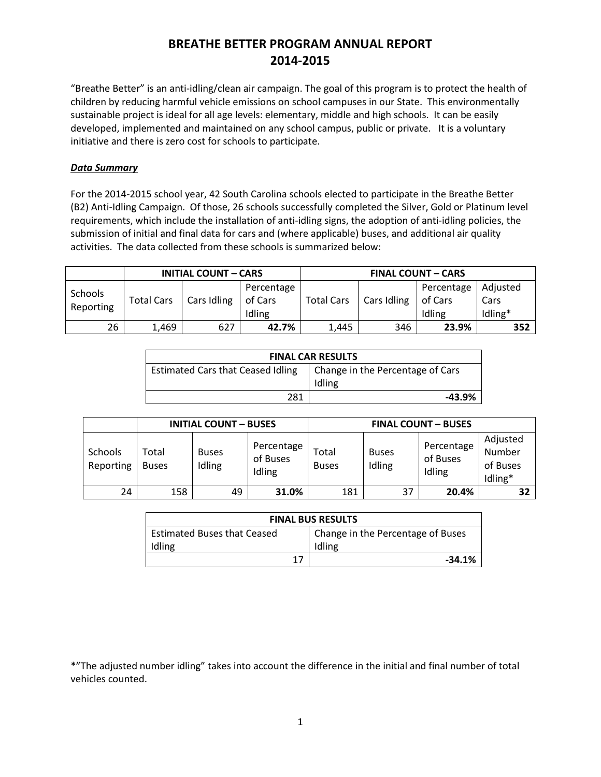"Breathe Better" is an anti-idling/clean air campaign. The goal of this program is to protect the health of children by reducing harmful vehicle emissions on school campuses in our State. This environmentally sustainable project is ideal for all age levels: elementary, middle and high schools. It can be easily developed, implemented and maintained on any school campus, public or private. It is a voluntary initiative and there is zero cost for schools to participate.

### *Data Summary*

For the 2014-2015 school year, 42 South Carolina schools elected to participate in the Breathe Better (B2) Anti-Idling Campaign. Of those, 26 schools successfully completed the Silver, Gold or Platinum level requirements, which include the installation of anti-idling signs, the adoption of anti-idling policies, the submission of initial and final data for cars and (where applicable) buses, and additional air quality activities. The data collected from these schools is summarized below:

|                             | <b>INITIAL COUNT - CARS</b> |             |                                 | <b>FINAL COUNT - CARS</b> |             |                                 |                             |
|-----------------------------|-----------------------------|-------------|---------------------------------|---------------------------|-------------|---------------------------------|-----------------------------|
| <b>Schools</b><br>Reporting | <b>Total Cars</b>           | Cars Idling | Percentage<br>of Cars<br>Idling | <b>Total Cars</b>         | Cars Idling | Percentage<br>of Cars<br>Idling | Adjusted<br>Cars<br>Idling* |
| 26                          | 1,469                       | 627         | 42.7%                           | 1,445                     | 346         | 23.9%                           | 352                         |

| <b>FINAL CAR RESULTS</b>          |                                  |  |  |
|-----------------------------------|----------------------------------|--|--|
| Estimated Cars that Ceased Idling | Change in the Percentage of Cars |  |  |
|                                   | Idling                           |  |  |
| 281                               | -43.9%                           |  |  |

|                      | <b>INITIAL COUNT - BUSES</b> |                        |                                  | <b>FINAL COUNT - BUSES</b> |                        |                                  |                                           |
|----------------------|------------------------------|------------------------|----------------------------------|----------------------------|------------------------|----------------------------------|-------------------------------------------|
| Schools<br>Reporting | Total<br><b>Buses</b>        | <b>Buses</b><br>Idling | Percentage<br>of Buses<br>Idling | Total<br><b>Buses</b>      | <b>Buses</b><br>Idling | Percentage<br>of Buses<br>Idling | Adjusted<br>Number<br>of Buses<br>Idling* |
| 24                   | 158                          | 49                     | 31.0%                            | 181                        | 37                     | 20.4%                            | 32                                        |

| <b>FINAL BUS RESULTS</b>           |                                   |  |  |  |
|------------------------------------|-----------------------------------|--|--|--|
| <b>Estimated Buses that Ceased</b> | Change in the Percentage of Buses |  |  |  |
| Idling                             | Idling                            |  |  |  |
| 17                                 | $-34.1%$                          |  |  |  |

<sup>\*&</sup>quot;The adjusted number idling" takes into account the difference in the initial and final number of total vehicles counted.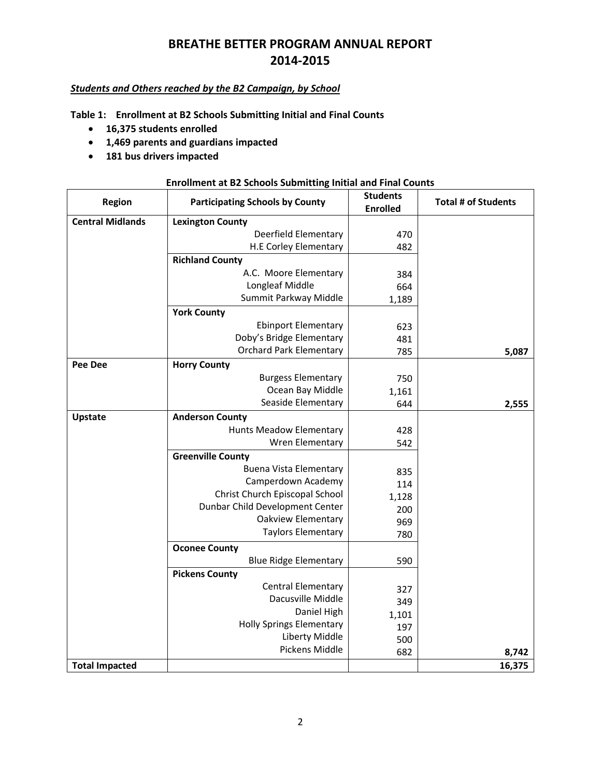### *Students and Others reached by the B2 Campaign, by School*

**Table 1: Enrollment at B2 Schools Submitting Initial and Final Counts** 

- **16,375 students enrolled**
- **1,469 parents and guardians impacted**
- **181 bus drivers impacted**

#### **Enrollment at B2 Schools Submitting Initial and Final Counts**

| Region                  | <b>Participating Schools by County</b> | <b>Students</b><br><b>Enrolled</b> | <b>Total # of Students</b> |
|-------------------------|----------------------------------------|------------------------------------|----------------------------|
| <b>Central Midlands</b> | <b>Lexington County</b>                |                                    |                            |
|                         | Deerfield Elementary                   | 470                                |                            |
|                         | H.E Corley Elementary                  | 482                                |                            |
|                         | <b>Richland County</b>                 |                                    |                            |
|                         | A.C. Moore Elementary                  | 384                                |                            |
|                         | Longleaf Middle                        | 664                                |                            |
|                         | Summit Parkway Middle                  | 1,189                              |                            |
|                         | <b>York County</b>                     |                                    |                            |
|                         | <b>Ebinport Elementary</b>             | 623                                |                            |
|                         | Doby's Bridge Elementary               | 481                                |                            |
|                         | <b>Orchard Park Elementary</b>         | 785                                | 5,087                      |
| <b>Pee Dee</b>          | <b>Horry County</b>                    |                                    |                            |
|                         | <b>Burgess Elementary</b>              | 750                                |                            |
|                         | Ocean Bay Middle                       | 1,161                              |                            |
|                         | Seaside Elementary                     | 644                                | 2,555                      |
| <b>Upstate</b>          | <b>Anderson County</b>                 |                                    |                            |
|                         | Hunts Meadow Elementary                | 428                                |                            |
|                         | Wren Elementary                        | 542                                |                            |
|                         | <b>Greenville County</b>               |                                    |                            |
|                         | Buena Vista Elementary                 | 835                                |                            |
|                         | Camperdown Academy                     | 114                                |                            |
|                         | Christ Church Episcopal School         | 1,128                              |                            |
|                         | Dunbar Child Development Center        | 200                                |                            |
|                         | Oakview Elementary                     | 969                                |                            |
|                         | <b>Taylors Elementary</b>              | 780                                |                            |
|                         | <b>Oconee County</b>                   |                                    |                            |
|                         | <b>Blue Ridge Elementary</b>           | 590                                |                            |
|                         | <b>Pickens County</b>                  |                                    |                            |
|                         | <b>Central Elementary</b>              | 327                                |                            |
|                         | Dacusville Middle                      | 349                                |                            |
|                         | Daniel High                            | 1,101                              |                            |
|                         | <b>Holly Springs Elementary</b>        | 197                                |                            |
|                         | Liberty Middle                         | 500                                |                            |
|                         | Pickens Middle                         | 682                                | 8,742                      |
| <b>Total Impacted</b>   |                                        |                                    | 16,375                     |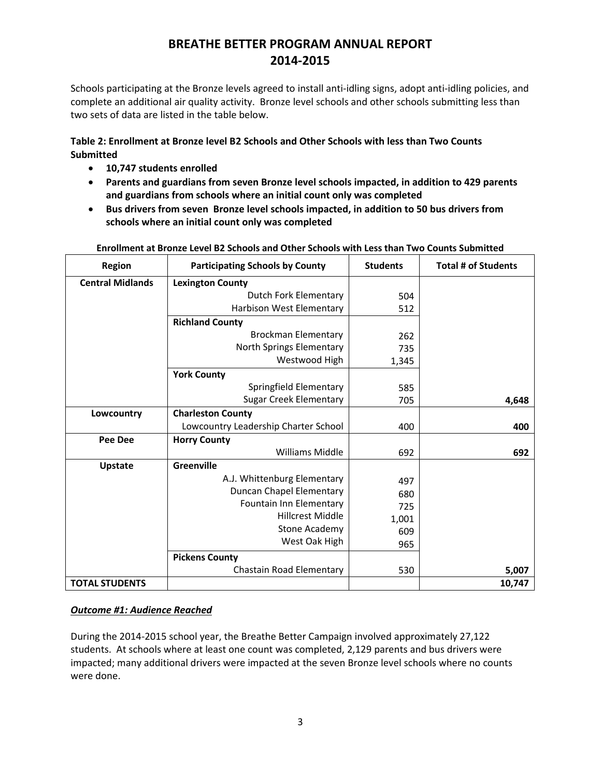Schools participating at the Bronze levels agreed to install anti-idling signs, adopt anti-idling policies, and complete an additional air quality activity. Bronze level schools and other schools submitting less than two sets of data are listed in the table below.

### **Table 2: Enrollment at Bronze level B2 Schools and Other Schools with less than Two Counts Submitted**

- **10,747 students enrolled**
- **Parents and guardians from seven Bronze level schools impacted, in addition to 429 parents and guardians from schools where an initial count only was completed**
- **Bus drivers from seven Bronze level schools impacted, in addition to 50 bus drivers from schools where an initial count only was completed**

| <b>Region</b>           | <b>Participating Schools by County</b> | <b>Students</b> | <b>Total # of Students</b> |
|-------------------------|----------------------------------------|-----------------|----------------------------|
| <b>Central Midlands</b> | <b>Lexington County</b>                |                 |                            |
|                         | Dutch Fork Elementary                  | 504             |                            |
|                         | Harbison West Elementary               | 512             |                            |
|                         | <b>Richland County</b>                 |                 |                            |
|                         | <b>Brockman Elementary</b>             | 262             |                            |
|                         | North Springs Elementary               | 735             |                            |
|                         | Westwood High                          | 1,345           |                            |
|                         | <b>York County</b>                     |                 |                            |
|                         | Springfield Elementary                 | 585             |                            |
|                         | <b>Sugar Creek Elementary</b>          | 705             | 4,648                      |
| Lowcountry              | <b>Charleston County</b>               |                 |                            |
|                         | Lowcountry Leadership Charter School   | 400             | 400                        |
| <b>Pee Dee</b>          | <b>Horry County</b>                    |                 |                            |
|                         | <b>Williams Middle</b>                 | 692             | 692                        |
| <b>Upstate</b>          | Greenville                             |                 |                            |
|                         | A.J. Whittenburg Elementary            | 497             |                            |
|                         | Duncan Chapel Elementary               | 680             |                            |
|                         | Fountain Inn Elementary                | 725             |                            |
|                         | Hillcrest Middle                       | 1,001           |                            |
|                         | Stone Academy                          | 609             |                            |
|                         | West Oak High                          | 965             |                            |
|                         | <b>Pickens County</b>                  |                 |                            |
|                         | Chastain Road Elementary               | 530             | 5,007                      |
| <b>TOTAL STUDENTS</b>   |                                        |                 | 10,747                     |

#### **Enrollment at Bronze Level B2 Schools and Other Schools with Less than Two Counts Submitted**

### *Outcome #1: Audience Reached*

During the 2014-2015 school year, the Breathe Better Campaign involved approximately 27,122 students. At schools where at least one count was completed, 2,129 parents and bus drivers were impacted; many additional drivers were impacted at the seven Bronze level schools where no counts were done.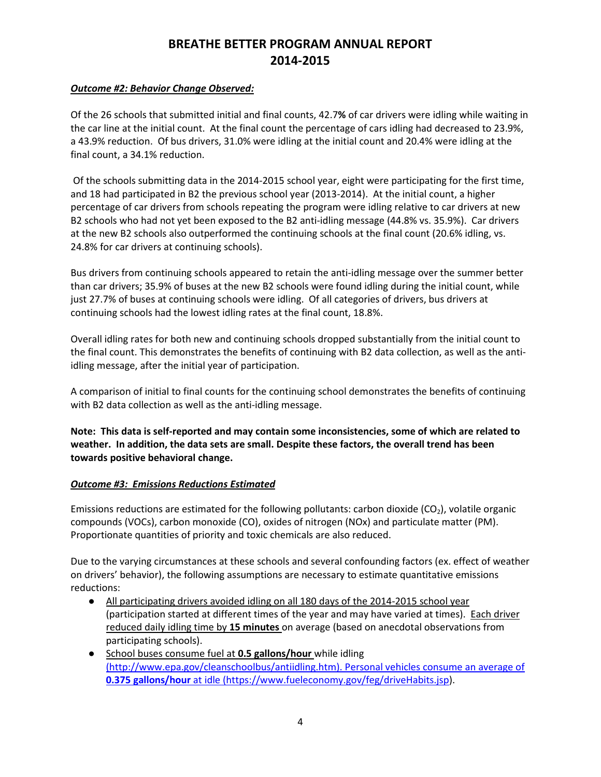### *Outcome #2: Behavior Change Observed:*

Of the 26 schools that submitted initial and final counts, 42.7**%** of car drivers were idling while waiting in the car line at the initial count. At the final count the percentage of cars idling had decreased to 23.9%, a 43.9% reduction. Of bus drivers, 31.0% were idling at the initial count and 20.4% were idling at the final count, a 34.1% reduction.

 Of the schools submitting data in the 2014-2015 school year, eight were participating for the first time, and 18 had participated in B2 the previous school year (2013-2014). At the initial count, a higher percentage of car drivers from schools repeating the program were idling relative to car drivers at new B2 schools who had not yet been exposed to the B2 anti-idling message (44.8% vs. 35.9%). Car drivers at the new B2 schools also outperformed the continuing schools at the final count (20.6% idling, vs. 24.8% for car drivers at continuing schools).

Bus drivers from continuing schools appeared to retain the anti-idling message over the summer better than car drivers; 35.9% of buses at the new B2 schools were found idling during the initial count, while just 27.7% of buses at continuing schools were idling. Of all categories of drivers, bus drivers at continuing schools had the lowest idling rates at the final count, 18.8%.

Overall idling rates for both new and continuing schools dropped substantially from the initial count to the final count. This demonstrates the benefits of continuing with B2 data collection, as well as the antiidling message, after the initial year of participation.

A comparison of initial to final counts for the continuing school demonstrates the benefits of continuing with B2 data collection as well as the anti-idling message.

**Note: This data is self-reported and may contain some inconsistencies, some of which are related to weather. In addition, the data sets are small. Despite these factors, the overall trend has been towards positive behavioral change.** 

### *Outcome #3: Emissions Reductions Estimated*

Emissions reductions are estimated for the following pollutants: carbon dioxide  $(CO<sub>2</sub>)$ , volatile organic compounds (VOCs), carbon monoxide (CO), oxides of nitrogen (NOx) and particulate matter (PM). Proportionate quantities of priority and toxic chemicals are also reduced.

Due to the varying circumstances at these schools and several confounding factors (ex. effect of weather on drivers' behavior), the following assumptions are necessary to estimate quantitative emissions reductions:

- All participating drivers avoided idling on all 180 days of the 2014-2015 school year (participation started at different times of the year and may have varied at times). Each driver reduced daily idling time by **15 minutes** on average (based on anecdotal observations from participating schools).
- School buses consume fuel at **0.5 gallons/hour** while idling (http://www.epa.gov/cleanschoolbus/antiidling.htm). Personal vehicles consume an average of **0.375 gallons/hour** at idle (https://www.fueleconomy.gov/feg/driveHabits.jsp).